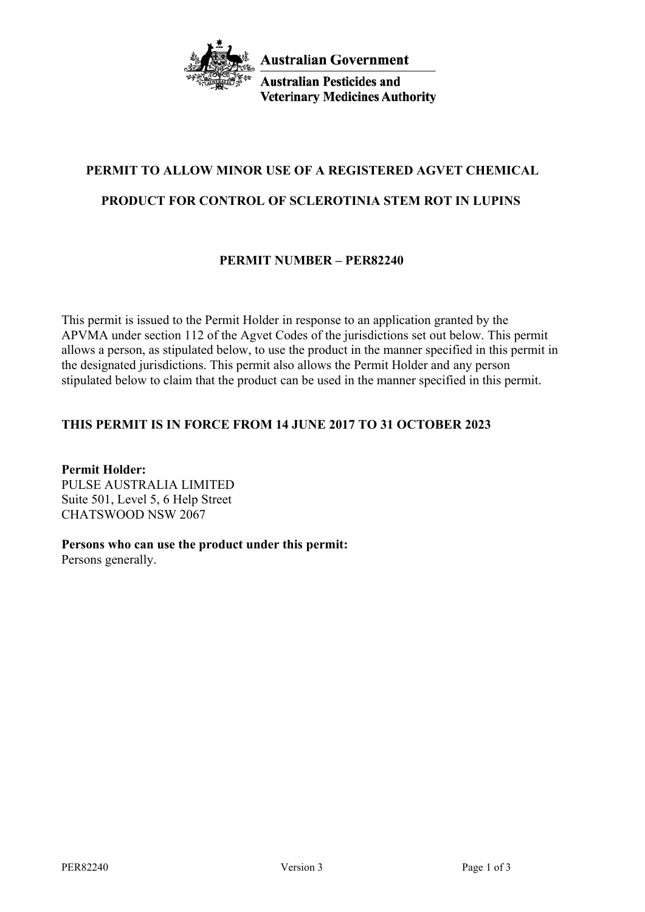

**Australian Pesticides and Veterinary Medicines Authority** 

# **PERMIT TO ALLOW MINOR USE OF A REGISTERED AGVET CHEMICAL**

# **PRODUCT FOR CONTROL OF SCLEROTINIA STEM ROT IN LUPINS**

# **PERMIT NUMBER – PER82240**

This permit is issued to the Permit Holder in response to an application granted by the APVMA under section 112 of the Agvet Codes of the jurisdictions set out below. This permit allows a person, as stipulated below, to use the product in the manner specified in this permit in the designated jurisdictions. This permit also allows the Permit Holder and any person stipulated below to claim that the product can be used in the manner specified in this permit.

# **THIS PERMIT IS IN FORCE FROM 14 JUNE 2017 TO 31 OCTOBER 2023**

**Permit Holder:** PULSE AUSTRALIA LIMITED Suite 501, Level 5, 6 Help Street CHATSWOOD NSW 2067

# **Persons who can use the product under this permit:**

Persons generally.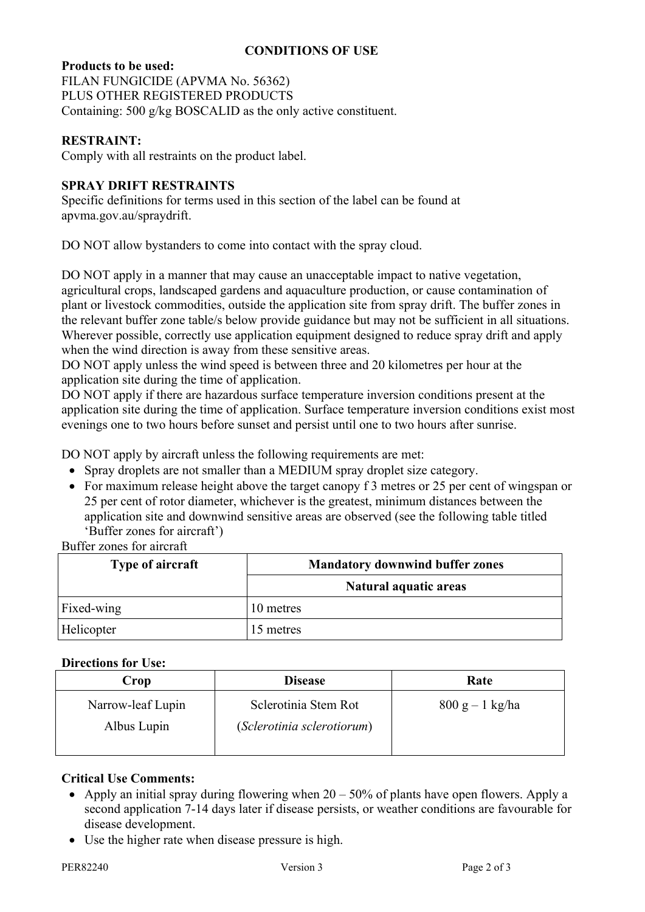## **CONDITIONS OF USE**

## **Products to be used:**

FILAN FUNGICIDE (APVMA No. 56362) PLUS OTHER REGISTERED PRODUCTS Containing: 500 g/kg BOSCALID as the only active constituent.

## **RESTRAINT:**

Comply with all restraints on the product label.

## **SPRAY DRIFT RESTRAINTS**

Specific definitions for terms used in this section of the label can be found at apvma.gov.au/spraydrift.

DO NOT allow bystanders to come into contact with the spray cloud.

DO NOT apply in a manner that may cause an unacceptable impact to native vegetation, agricultural crops, landscaped gardens and aquaculture production, or cause contamination of plant or livestock commodities, outside the application site from spray drift. The buffer zones in the relevant buffer zone table/s below provide guidance but may not be sufficient in all situations. Wherever possible, correctly use application equipment designed to reduce spray drift and apply when the wind direction is away from these sensitive areas.

DO NOT apply unless the wind speed is between three and 20 kilometres per hour at the application site during the time of application.

DO NOT apply if there are hazardous surface temperature inversion conditions present at the application site during the time of application. Surface temperature inversion conditions exist most evenings one to two hours before sunset and persist until one to two hours after sunrise.

DO NOT apply by aircraft unless the following requirements are met:

- Spray droplets are not smaller than a MEDIUM spray droplet size category.
- For maximum release height above the target canopy f 3 metres or 25 per cent of wingspan or 25 per cent of rotor diameter, whichever is the greatest, minimum distances between the application site and downwind sensitive areas are observed (see the following table titled 'Buffer zones for aircraft')

# Buffer zones for aircraft

| <b>Type of aircraft</b> | <b>Mandatory downwind buffer zones</b> |  |
|-------------------------|----------------------------------------|--|
|                         | <b>Natural aquatic areas</b>           |  |
| Fixed-wing              | 10 metres                              |  |
| Helicopter              | 15 metres                              |  |

#### **Directions for Use:**

| Crop                             | <b>Disease</b>                                     | Rate              |
|----------------------------------|----------------------------------------------------|-------------------|
| Narrow-leaf Lupin<br>Albus Lupin | Sclerotinia Stem Rot<br>(Sclerotinia sclerotiorum) | $800 g - 1 kg/ha$ |

#### **Critical Use Comments:**

- Apply an initial spray during flowering when  $20 50\%$  of plants have open flowers. Apply a second application 7-14 days later if disease persists, or weather conditions are favourable for disease development.
- Use the higher rate when disease pressure is high.